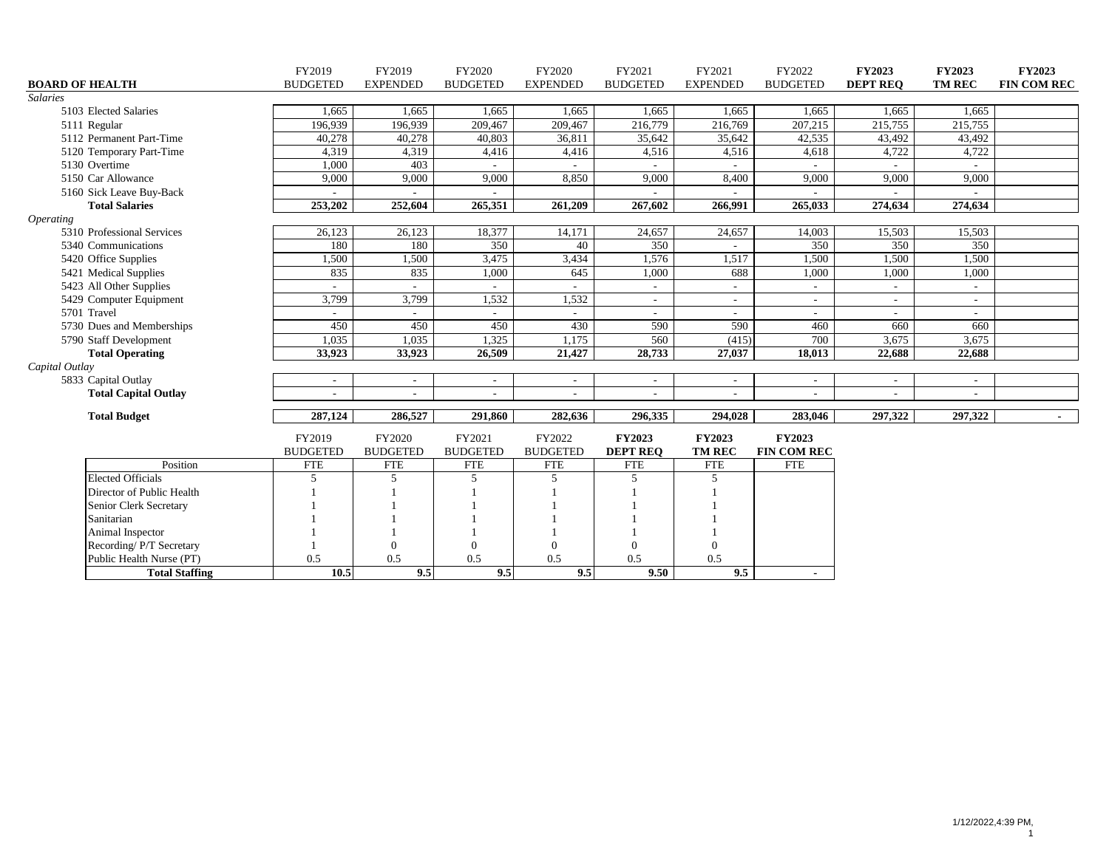|                             | FY2019          | FY2019                   | FY2020                   | FY2020                   | FY2021                   | FY2021                   | FY2022                   | <b>FY2023</b>   | <b>FY2023</b> | FY2023             |
|-----------------------------|-----------------|--------------------------|--------------------------|--------------------------|--------------------------|--------------------------|--------------------------|-----------------|---------------|--------------------|
| <b>BOARD OF HEALTH</b>      | <b>BUDGETED</b> | <b>EXPENDED</b>          | <b>BUDGETED</b>          | <b>EXPENDED</b>          | <b>BUDGETED</b>          | <b>EXPENDED</b>          | <b>BUDGETED</b>          | <b>DEPT REO</b> | <b>TM REC</b> | <b>FIN COM REC</b> |
| <b>Salaries</b>             |                 |                          |                          |                          |                          |                          |                          |                 |               |                    |
| 5103 Elected Salaries       | 1,665           | 1,665                    | 1,665                    | 1,665                    | 1,665                    | 1,665                    | 1,665                    | 1,665           | 1,665         |                    |
| 5111 Regular                | 196,939         | 196,939                  | 209,467                  | 209,467                  | 216,779                  | 216,769                  | 207,215                  | 215,755         | 215,755       |                    |
| 5112 Permanent Part-Time    | 40,278          | 40,278                   | 40,803                   | 36,811                   | 35,642                   | 35,642                   | 42,535                   | 43,492          | 43,492        |                    |
| 5120 Temporary Part-Time    | 4,319           | 4,319                    | 4,416                    | 4,416                    | 4,516                    | 4,516                    | 4,618                    | 4,722           | 4,722         |                    |
| 5130 Overtime               | 1,000           | 403                      | $\sim$                   |                          |                          |                          |                          |                 |               |                    |
| 5150 Car Allowance          | 9,000           | 9,000                    | 9,000                    | 8,850                    | 9,000                    | 8,400                    | 9,000                    | 9,000           | 9,000         |                    |
| 5160 Sick Leave Buy-Back    |                 |                          |                          |                          |                          |                          | $\sim$                   |                 |               |                    |
| <b>Total Salaries</b>       | 253,202         | 252,604                  | 265,351                  | 261,209                  | 267,602                  | 266,991                  | 265,033                  | 274,634         | 274,634       |                    |
| <b>Operating</b>            |                 |                          |                          |                          |                          |                          |                          |                 |               |                    |
| 5310 Professional Services  | 26,123          | 26,123                   | 18,377                   | 14,171                   | 24,657                   | 24,657                   | 14,003                   | 15,503          | 15,503        |                    |
| 5340 Communications         | 180             | 180                      | 350                      | 40                       | 350                      |                          | 350                      | 350             | 350           |                    |
| 5420 Office Supplies        | 1,500           | 1,500                    | 3,475                    | 3,434                    | 1,576                    | 1,517                    | 1,500                    | 1,500           | 1,500         |                    |
| 5421 Medical Supplies       | 835             | 835                      | 1,000                    | 645                      | 1,000                    | 688                      | 1,000                    | 1,000           | 1,000         |                    |
| 5423 All Other Supplies     |                 |                          |                          |                          |                          | $\overline{\phantom{a}}$ | $\sim$                   |                 |               |                    |
| 5429 Computer Equipment     | 3,799           | 3,799                    | 1,532                    | 1,532                    |                          | $\overline{\phantom{a}}$ | $\blacksquare$           |                 |               |                    |
| 5701 Travel                 |                 |                          |                          |                          | $\overline{a}$           | $\mathbf{r}$             | $\sim$                   |                 |               |                    |
| 5730 Dues and Memberships   | 450             | 450                      | 450                      | 430                      | 590                      | 590                      | 460                      | 660             | 660           |                    |
| 5790 Staff Development      | 1,035           | 1,035                    | 1,325                    | 1,175                    | 560                      | (415)                    | 700                      | 3,675           | 3,675         |                    |
| <b>Total Operating</b>      | 33,923          | 33,923                   | 26,509                   | 21,427                   | 28,733                   | 27,037                   | 18,013                   | 22,688          | 22,688        |                    |
| Capital Outlay              |                 |                          |                          |                          |                          |                          |                          |                 |               |                    |
| 5833 Capital Outlay         |                 |                          | $\overline{\phantom{a}}$ | $\overline{\phantom{a}}$ | $\overline{\phantom{a}}$ | $\overline{\phantom{a}}$ | $\sim$                   |                 |               |                    |
| <b>Total Capital Outlay</b> |                 |                          |                          |                          |                          | $\overline{\phantom{a}}$ | $\overline{\phantom{a}}$ |                 |               |                    |
| <b>Total Budget</b>         | 287,124         | 286,527                  | 291,860                  | 282,636                  | 296,335                  | 294,028                  | 283,046                  | 297,322         | 297,322       |                    |
|                             | FY2019          | FY2020                   | FY2021                   | FY2022                   | <b>FY2023</b>            | <b>FY2023</b>            | <b>FY2023</b>            |                 |               |                    |
|                             | <b>BUDGETED</b> | <b>BUDGETED</b>          | <b>BUDGETED</b>          | <b>BUDGETED</b>          | <b>DEPT REO</b>          | <b>TM REC</b>            | <b>FIN COM REC</b>       |                 |               |                    |
| Position                    | <b>FTE</b>      | <b>FTE</b>               | <b>FTE</b>               | <b>FTE</b>               | <b>FTE</b>               | <b>FTE</b>               | <b>FTE</b>               |                 |               |                    |
| <b>Elected Officials</b>    | 5               | $\overline{\phantom{1}}$ | $\overline{5}$           | 5                        | 5                        | 5                        |                          |                 |               |                    |
| Director of Public Health   |                 |                          |                          |                          |                          |                          |                          |                 |               |                    |
| Senior Clerk Secretary      |                 |                          |                          |                          |                          |                          |                          |                 |               |                    |
| Sanitarian                  |                 |                          |                          |                          |                          |                          |                          |                 |               |                    |
| Animal Inspector            |                 |                          |                          |                          |                          |                          |                          |                 |               |                    |
| Recording/P/T Secretary     |                 | $\Omega$                 | $\Omega$                 | $\mathbf{0}$             | $\overline{0}$           | $\theta$                 |                          |                 |               |                    |
| Public Health Nurse (PT)    | 0.5             | 0.5                      | 0.5                      | 0.5                      | 0.5                      | 0.5                      |                          |                 |               |                    |
| <b>Total Staffing</b>       | 10.5            | 9.5                      | 9.5                      | 9.5                      | 9.50                     | 9.5                      | $\blacksquare$           |                 |               |                    |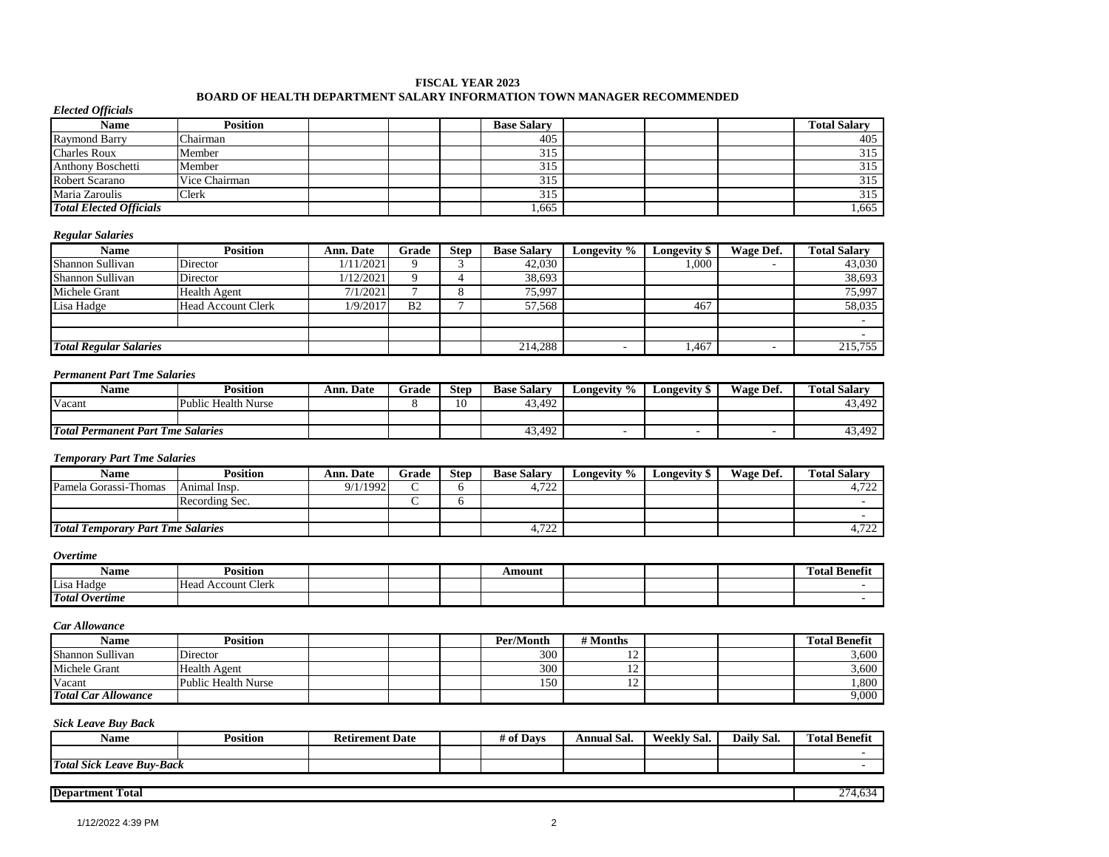#### **FISCAL YEAR 2023**

## **BOARD OF HEALTH DEPARTMENT SALARY INFORMATION TOWN MANAGER RECOMMENDED**

### *Elected Officials*

| Name                           | Position      |  | <b>Base Salary</b> |  | <b>Total Salary</b> |
|--------------------------------|---------------|--|--------------------|--|---------------------|
| <b>Raymond Barry</b>           | Chairman      |  | 405                |  | 405                 |
| <b>Charles Roux</b>            | Member        |  | 315                |  | 315                 |
| Anthony Boschetti              | Member        |  | 315                |  | 315                 |
| <b>Robert Scarano</b>          | Vice Chairman |  | 315                |  | 315                 |
| Maria Zaroulis                 | Clerk         |  | 315                |  | 315                 |
| <b>Total Elected Officials</b> |               |  | ,665               |  | 1,665               |

#### *Regular Salaries*

| Name                          | Position                  | Ann. Date | Grade          | <b>Step</b> | <b>Base Salary</b> | Longevity % | Longevity \$ | Wage Def. | <b>Total Salary</b> |
|-------------------------------|---------------------------|-----------|----------------|-------------|--------------------|-------------|--------------|-----------|---------------------|
| Shannon Sullivan              | Director                  | 1/11/2021 |                |             | 42,030             |             | .000         |           | 43,030              |
| Shannon Sullivan              | Director                  | 1/12/2021 |                |             | 38,693             |             |              |           | 38,693              |
| Michele Grant                 | <b>Health Agent</b>       | 7/1/2021  |                |             | 75,997             |             |              |           | 75,997              |
| Lisa Hadge                    | <b>Head Account Clerk</b> | 1/9/2017  | B <sub>2</sub> |             | 57,568             |             | 467          |           | 58,035              |
|                               |                           |           |                |             |                    |             |              |           |                     |
|                               |                           |           |                |             |                    |             |              |           |                     |
| <b>Total Regular Salaries</b> |                           |           |                |             | 214,288            |             | .467         |           | 215,755             |

#### *Permanent Part Tme Salaries*

| <b>Name</b>                              | <b>Position</b>     | Ann. Date | Grade | <b>Step</b> | <b>Base Salary</b> | Longevity % | Longevity \$ | Wage Def. | m<br><b>Total Salarv</b> |
|------------------------------------------|---------------------|-----------|-------|-------------|--------------------|-------------|--------------|-----------|--------------------------|
| Vacant                                   | Public Health Nurse |           |       |             | 43.492             |             |              |           | 43,492                   |
|                                          |                     |           |       |             |                    |             |              |           |                          |
| <b>Total Permanent Part Tme Salaries</b> |                     |           |       |             | 43,492             |             |              |           | 43,492<br>4.             |

### *Temporary Part Tme Salaries*

| Name                                     | <b>Position</b> | <b>Ann. Date</b> | Grade | <b>Step</b> | <b>Base Salary</b> | Longevity % | Longevitv 9 | Wage Def. | <b>Total Salarv</b> |
|------------------------------------------|-----------------|------------------|-------|-------------|--------------------|-------------|-------------|-----------|---------------------|
| Pamela Gorassi-Thomas                    | Animal Insp.    | 9/1/1992         |       |             | 722<br>4.ILL       |             |             |           | 1722<br>4.ILL       |
|                                          | Recording Sec.  |                  |       |             |                    |             |             |           |                     |
|                                          |                 |                  |       |             |                    |             |             |           |                     |
| <b>Total Temporary Part Tme Salaries</b> |                 |                  |       |             | 4,722              |             |             |           | 4.722<br>4.ILL      |

#### *Overtime*

| Name                  | Position                              |  | Amount |  | m.<br>$\mathbf{a}$<br>--<br>Fotal Benefit |
|-----------------------|---------------------------------------|--|--------|--|-------------------------------------------|
| Lisa Hadge            | Clerk<br>Head<br>Account <sup>1</sup> |  |        |  |                                           |
| <b>Total Overtime</b> |                                       |  |        |  |                                           |

#### *Car Allowance*

| Name                       | Position            |  | Per/Month | # Months |  | <b>Total Benefit</b> |
|----------------------------|---------------------|--|-----------|----------|--|----------------------|
| Shannon Sullivan           | Director            |  | 300       |          |  | 5,600                |
| Michele Grant              | <b>Health Agent</b> |  | 300       |          |  | 3,600                |
| Vacant                     | Public Health Nurse |  | 150       |          |  | .800                 |
| <b>Total Car Allowance</b> |                     |  |           |          |  | 9,000                |

### *Sick Leave Buy Back*

| Name                                                          | <b>Position</b> | <b>{etirement Date</b> | # of Davs | Annual Sal. | <b>TX7</b><br>Weekly Sal. | $\sim$<br>$\cdot$<br>Sal.<br>Dail <sup>t</sup> | <b>Fotal Benefit</b><br>m |
|---------------------------------------------------------------|-----------------|------------------------|-----------|-------------|---------------------------|------------------------------------------------|---------------------------|
|                                                               |                 |                        |           |             |                           |                                                |                           |
| <b>Total</b><br>$\sim$<br><b>Buy-Back</b><br>. Leave<br>Sick. |                 |                        |           |             |                           |                                                |                           |

### **Department Total** 274,634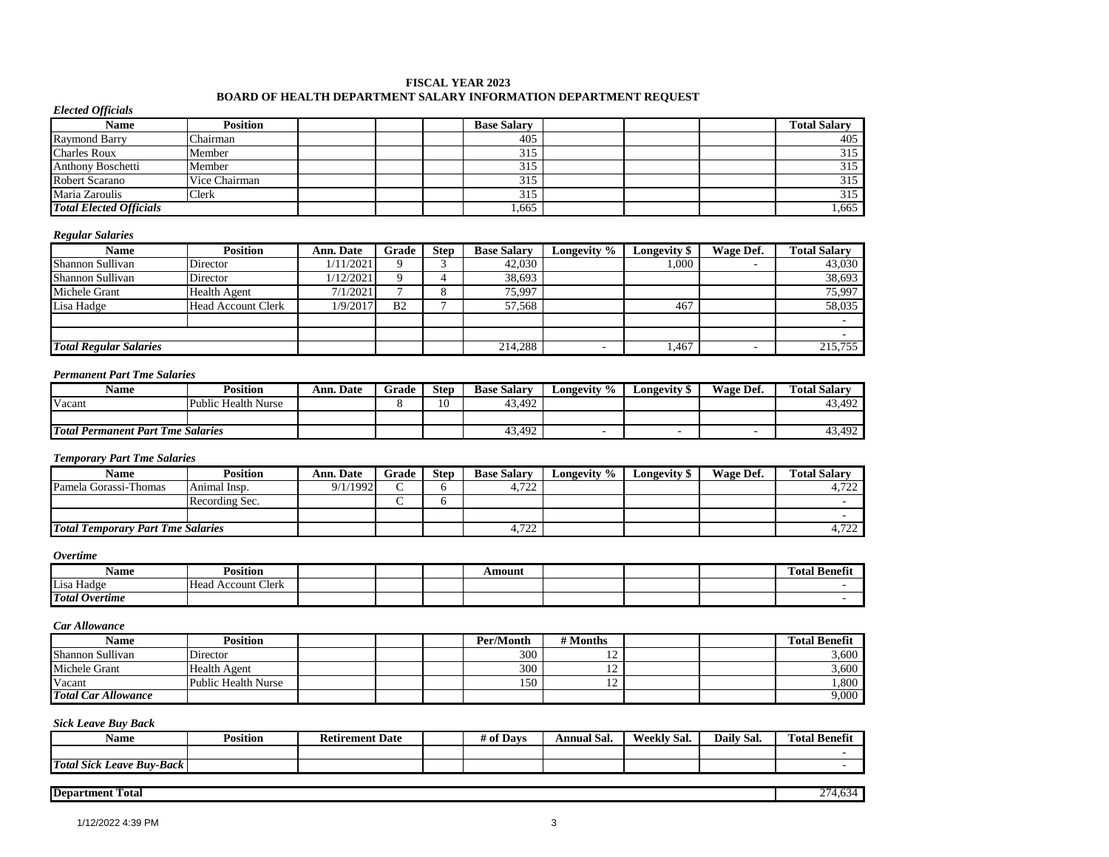#### **FISCAL YEAR 2023 BOARD OF HEALTH DEPARTMENT SALARY INFORMATION DEPARTMENT REQUEST**

#### *Elected Officials*

| Name                           | <b>Position</b> |  | <b>Base Salary</b> |  | <b>Total Salary</b> |
|--------------------------------|-----------------|--|--------------------|--|---------------------|
| <b>Raymond Barry</b>           | Chairman        |  | 405                |  | 405                 |
| <b>Charles Roux</b>            | Member          |  | 315                |  | 315                 |
| Anthony Boschetti              | Member          |  | 315                |  | 315                 |
| Robert Scarano                 | Vice Chairman   |  | 315                |  | 315                 |
| Maria Zaroulis                 | Clerk           |  | 315                |  | 315                 |
| <b>Total Elected Officials</b> |                 |  | .665               |  | .665                |

#### *Regular Salaries*

| Name                          | <b>Position</b>     | <b>Ann. Date</b> | Grade          | <b>Step</b> | <b>Base Salary</b> | Longevity % | <b>Longevity</b> \$ | Wage Def. | <b>Total Salary</b> |
|-------------------------------|---------------------|------------------|----------------|-------------|--------------------|-------------|---------------------|-----------|---------------------|
| Shannon Sullivan              | Director            | 1/11/2021        | Q              |             | 42,030             |             | 000.1               |           | 43,030              |
| Shannon Sullivan              | Director            | 1/12/2021        |                |             | 38.693             |             |                     |           | 38,693              |
| Michele Grant                 | <b>Health Agent</b> | 7/1/2021         |                |             | 75.997             |             |                     |           | 75,997              |
| Lisa Hadge                    | Head Account Clerk  | 1/9/2017         | B <sub>2</sub> |             | 57.568             |             | 467                 |           | 58,035              |
|                               |                     |                  |                |             |                    |             |                     |           | $\sim$              |
|                               |                     |                  |                |             |                    |             |                     |           |                     |
| <b>Total Regular Salaries</b> |                     |                  |                |             | 214,288            |             | . 467               |           | 215,755             |

#### *Permanent Part Tme Salaries*

| Name                                     | <b>Position</b>     | Ann. Date | Grade | Step | <b>Base Salary</b> | Longevity % | Longevity <b>!</b> | Wage Def. | <b>Total Salarv</b> |
|------------------------------------------|---------------------|-----------|-------|------|--------------------|-------------|--------------------|-----------|---------------------|
| Vacant                                   | Public Health Nurse |           |       | 10   | 43.492             |             |                    |           | 43.492              |
|                                          |                     |           |       |      |                    |             |                    |           |                     |
| <b>Total Permanent Part Tme Salaries</b> |                     |           |       |      | 43,492             |             |                    |           | 43,492              |

### *Temporary Part Tme Salaries*

| Name                                     | Position       | Ann. Date | Grade  | <b>Step</b> | <b>Base Salary</b> | Longevity % | Longevity \$ | Wage Def. | <b>Total Salary</b> |
|------------------------------------------|----------------|-----------|--------|-------------|--------------------|-------------|--------------|-----------|---------------------|
| Pamela Gorassi-Thomas                    | Animal Insp.   | 9/1/1992  | $\sim$ |             | 4,722              |             |              |           | רר ה<br>4,122       |
|                                          | Recording Sec. |           |        |             |                    |             |              |           |                     |
|                                          |                |           |        |             |                    |             |              |           |                     |
| <b>Total Temporary Part Tme Salaries</b> |                |           |        |             | 4.722              |             |              |           | 700<br>4,122        |

#### *Overtime*

| Name                  | Position                            |  | Amount |  | $^{\circ}$<br>. .<br>m<br>Benefit<br>otal: |
|-----------------------|-------------------------------------|--|--------|--|--------------------------------------------|
| $ -$<br>Lisa Hadge    | <b>Account Clerk</b><br><b>Head</b> |  |        |  |                                            |
| <b>Total Overtime</b> |                                     |  |        |  |                                            |

#### *Car Allowance*

| Name                       | Position            |  | Per/Month | # Months |  | <b>Total Benefit</b> |
|----------------------------|---------------------|--|-----------|----------|--|----------------------|
| Shannon Sullivan           | Director            |  | 300       | . .      |  | 3.600                |
| Michele Grant              | <b>Health Agent</b> |  | 300       | . .      |  | 3.600                |
| Vacant                     | Public Health Nurse |  | 150       |          |  | .800                 |
| <b>Total Car Allowance</b> |                     |  |           |          |  | 9,000                |

### *Sick Leave Buy Back*

| Name                             | Position | <b>Retirement Date</b> | <sup>e</sup> Davs<br># of | Annual Sal. | - -<br><b>XX7</b><br>Weekly Sal. | $\sim$<br>$\bullet$<br>-<br>Daily Sal. | <b>Fotal Benefit</b><br>m |
|----------------------------------|----------|------------------------|---------------------------|-------------|----------------------------------|----------------------------------------|---------------------------|
|                                  |          |                        |                           |             |                                  |                                        |                           |
| <b>Total Sick Leave Buy-Back</b> |          |                        |                           |             |                                  |                                        |                           |

### **Department Total** 274,634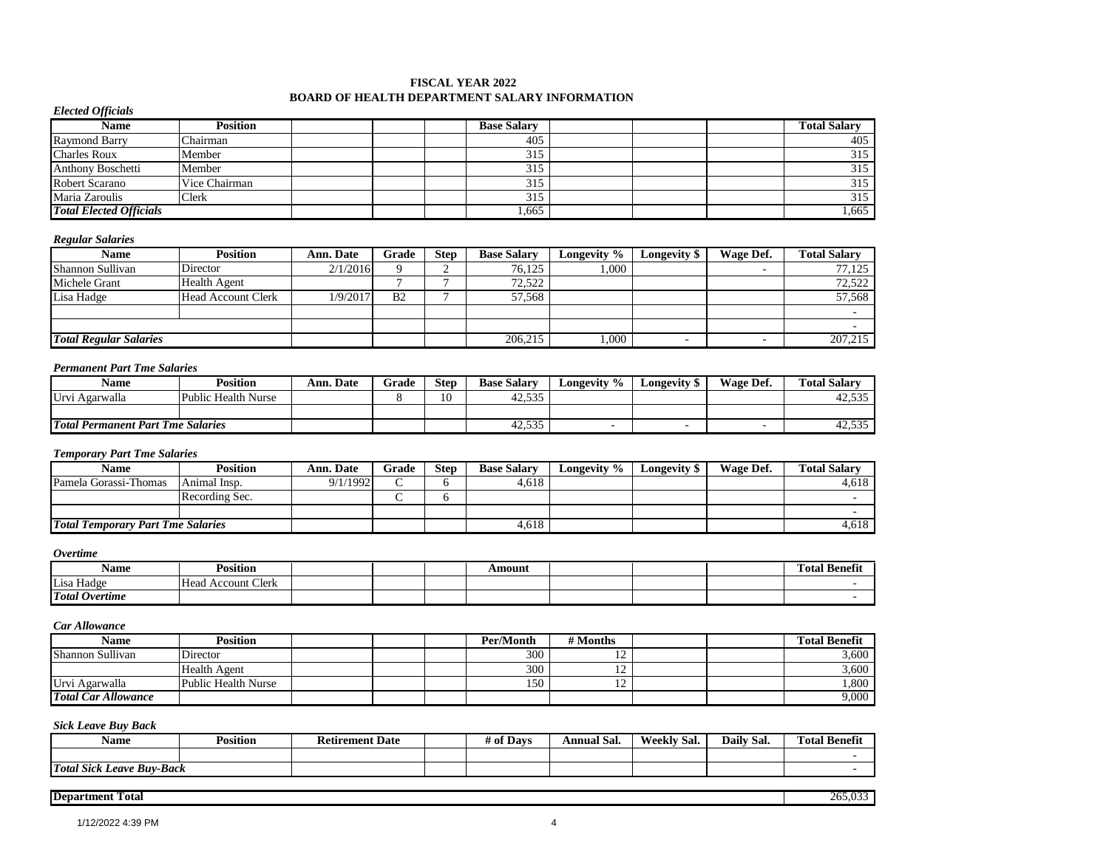#### **BOARD OF HEALTH DEPARTMENT SALARY INFORMATION FISCAL YEAR 2022**

## *Elected Officials*

| Name                           | <b>Position</b> |  | <b>Base Salary</b> |  | <b>Total Salarv</b> |
|--------------------------------|-----------------|--|--------------------|--|---------------------|
| <b>Raymond Barry</b>           | `hairman        |  | 405                |  | 405                 |
| <b>Charles Roux</b>            | Member          |  | 315                |  | 315                 |
| <b>Anthony Boschetti</b>       | Member          |  | 315                |  | 315                 |
| Robert Scarano                 | Vice Chairman   |  | 315                |  | 315                 |
| Maria Zaroulis                 | Clerk           |  | 315                |  | 315                 |
| <b>Total Elected Officials</b> |                 |  | .,665              |  | .,665               |

#### *Regular Salaries*

| Name                          | Position           | <b>Ann. Date</b> | Grade          | <b>Step</b> | <b>Base Salary</b> | <b>Longevity</b> $\%$ | Longevity \$ | Wage Def. | <b>Total Salary</b> |
|-------------------------------|--------------------|------------------|----------------|-------------|--------------------|-----------------------|--------------|-----------|---------------------|
| Shannon Sullivan              | Director           | 2/1/2016         |                |             | 76.125             | 000.1                 |              |           | 77.125              |
| Michele Grant                 | Health Agent       |                  |                |             | 72,522             |                       |              |           | 72,522              |
| Lisa Hadge                    | Head Account Clerk | 1/9/2017         | B <sub>2</sub> |             | 57.568             |                       |              |           | 57,568              |
|                               |                    |                  |                |             |                    |                       |              |           |                     |
|                               |                    |                  |                |             |                    |                       |              |           |                     |
| <b>Total Regular Salaries</b> |                    |                  |                |             | 206,215            | 000.                  |              |           | 207,215             |

#### *Permanent Part Tme Salaries*

| <b>Name</b>                     | Position            | . Date<br>Ann. | Grade | <b>Step</b> | <b>Base Salary</b>          | Longevity % | Longevity \$ | Wage Def. | <b>Total Salary</b> |
|---------------------------------|---------------------|----------------|-------|-------------|-----------------------------|-------------|--------------|-----------|---------------------|
| Agarwalla<br>Jrv.               | Public Health Nurse |                |       | 10          | 535<br>$\sqrt{2}$<br>42.99. |             |              |           | 42,535              |
|                                 |                     |                |       |             |                             |             |              |           |                     |
| <b>Total Permanent Part Tme</b> | <i>Salaries</i>     |                |       |             | $\sim$<br>42.995            |             |              |           | 12.525<br>42.99.    |

#### *Temporary Part Tme Salaries*

| Name                                     | Position       | <b>Ann. Date</b> | Grade  | <b>Step</b> | <b>Base Salary</b> | Longevity % | Longevity \$ | Wage Def. | <b>Total Salarv</b> |
|------------------------------------------|----------------|------------------|--------|-------------|--------------------|-------------|--------------|-----------|---------------------|
| Pamela Gorassi-Thomas                    | Animal Insp.   | 9/1/1992         | $\sim$ |             | 4.618              |             |              |           | 4.618               |
|                                          | Recording Sec. |                  |        |             |                    |             |              |           |                     |
|                                          |                |                  |        |             |                    |             |              |           |                     |
| <b>Total Temporary Part Tme Salaries</b> |                |                  |        |             | 4.618              |             |              |           | 4.618               |

#### *Overtime*

| Name                  | ™osition                             |  | <b>\mount</b> |  | <b>COLOR</b><br><b>CONTRACTOR</b><br>. .<br>l'otal Benefit |
|-----------------------|--------------------------------------|--|---------------|--|------------------------------------------------------------|
| Lisa Hadge            | Clerk<br>Heac<br>Accoun <sup>+</sup> |  |               |  |                                                            |
| <b>Total Overtime</b> |                                      |  |               |  |                                                            |

### *Car Allowance*

| Name                       | Position            |  | Per/Month | # Months       |  | <b>Total Benefit</b> |
|----------------------------|---------------------|--|-----------|----------------|--|----------------------|
| Shannon Sullivan           | Director            |  | 300       | $\overline{ }$ |  | 3,600                |
|                            | Health Agent        |  | 300       | $\overline{ }$ |  | 3,600                |
| Urvi Agarwalla             | Public Health Nurse |  | 150       | $\sim$<br>. .  |  | .800                 |
| <b>Total Car Allowance</b> |                     |  |           |                |  | 9,000                |

### *Sick Leave Buy Back*

| - -<br>Name                      | Position | Date<br><b>Retirement</b> | f Davs<br>t of | Annual Sal. | Weekly Sal. | Daily Sal.<br>$\sim$ | <b>COLOR</b><br><b>CONTRACTOR</b><br><b>Fotal Benefit</b> |
|----------------------------------|----------|---------------------------|----------------|-------------|-------------|----------------------|-----------------------------------------------------------|
|                                  |          |                           |                |             |             |                      |                                                           |
| <b>Total Sick Leave Buy-Back</b> |          |                           |                |             |             |                      |                                                           |

#### **Department Total** 265,033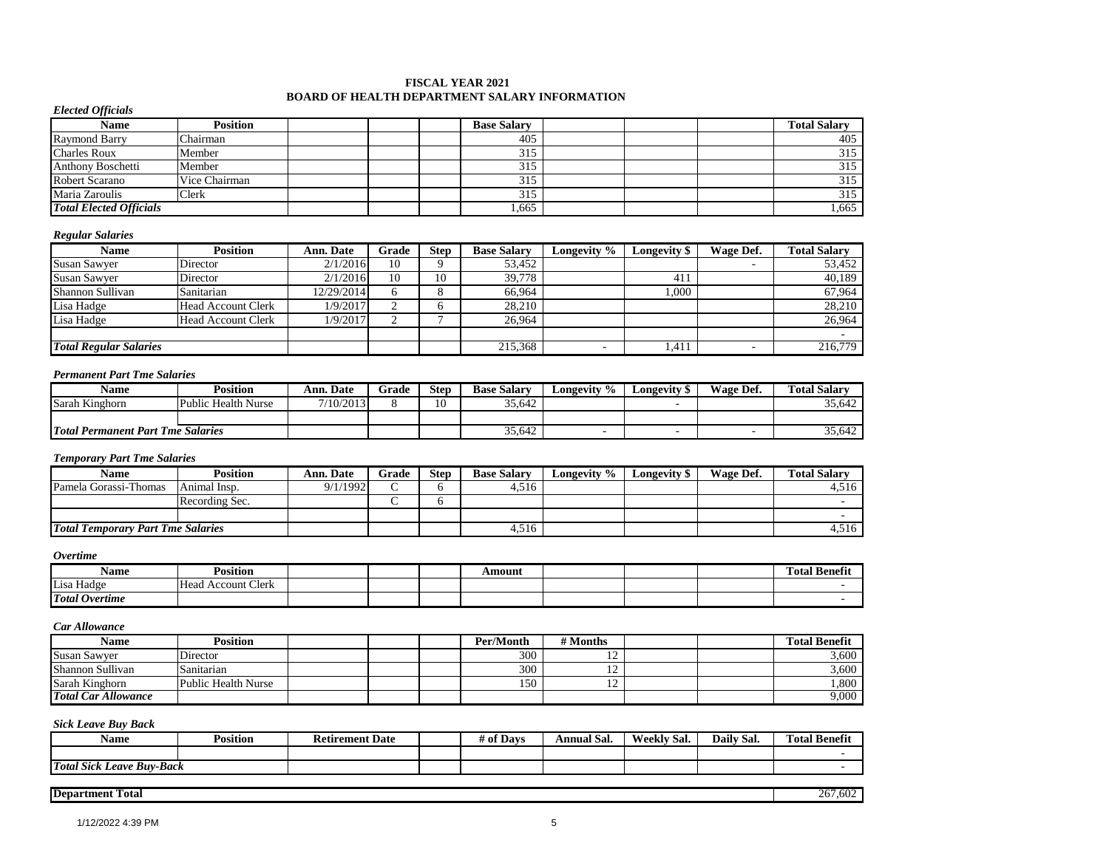#### **FISCAL YEAR 2021 BOARD OF HEALTH DEPARTMENT SALARY INFORMATION**

### *Elected Officials*

| Name                           | <b>Position</b> |  | <b>Base Salary</b> |  | <b>Total Salary</b> |
|--------------------------------|-----------------|--|--------------------|--|---------------------|
| Raymond Barry                  | Chairman        |  | 405                |  | 405                 |
| <b>Charles Roux</b>            | Member          |  | 315                |  | 315                 |
| <b>Anthony Boschetti</b>       | Member          |  | 315                |  | 315                 |
| <b>Robert Scarano</b>          | Vice Chairman   |  | 315                |  | 315                 |
| Maria Zaroulis                 | Clerk           |  | 315                |  | 315                 |
| <b>Total Elected Officials</b> |                 |  | .665               |  | 1,665               |

#### *Regular Salaries*

| Name                          | Position                  | <b>Ann. Date</b> | Grade | <b>Step</b> | <b>Base Salary</b> | Longevity % | Longevity \$ | Wage Def. | <b>Total Salary</b> |
|-------------------------------|---------------------------|------------------|-------|-------------|--------------------|-------------|--------------|-----------|---------------------|
| <b>Susan Sawver</b>           | Director                  | 2/1/2016         | 10    |             | 53,452             |             |              |           | 53.452              |
| <b>Susan Sawver</b>           | Director                  | 2/1/2016         | 10    | 10          | 39.778             |             | 411          |           | 40,189              |
| Shannon Sullivan              | Sanitarian                | 12/29/2014       |       |             | 66.964             |             | 1,000        |           | 67,964              |
| Lisa Hadge                    | <b>Head Account Clerk</b> | 1/9/2017         |       |             | 28.210             |             |              |           | 28,210              |
| Lisa Hadge                    | Head Account Clerk        | 1/9/2017         |       |             | 26.964             |             |              |           | 26.964              |
|                               |                           |                  |       |             |                    |             |              |           |                     |
| <b>Total Regular Salaries</b> |                           |                  |       |             | 215,368            |             | 1,411        |           | 216,779             |

#### *Permanent Part Tme Salaries*

| <b>Name</b>                              | Position | Ann. Date | Grade | <b>Step</b>   | <b>Base Salary</b> | Longevity % | Longevity \$ | Wage Def. | <b>Total Salary</b> |
|------------------------------------------|----------|-----------|-------|---------------|--------------------|-------------|--------------|-----------|---------------------|
| Sarah Kinghorn<br>Public Health Nurse    |          | 7/10/2013 |       | $\sim$<br>∡V. | 35,642             |             |              |           | 35,642              |
|                                          |          |           |       |               |                    |             |              |           |                     |
| <b>Total Permanent Part Tme Salaries</b> |          |           |       |               | 35,642             |             |              |           | 35,642              |

### *Temporary Part Tme Salaries*

| <b>Name</b>                              | Position       | Ann. Date | Grade | <b>Step</b> | <b>Base Salary</b> | Longevity % | Longevity \$ | Wage Def. | <b>Total Salarv</b> |
|------------------------------------------|----------------|-----------|-------|-------------|--------------------|-------------|--------------|-----------|---------------------|
| Pamela Gorassi-Thomas                    | Animal Insp.   | 9/1/1992  |       |             | 4,516              |             |              |           | 4,516               |
|                                          | Recording Sec. |           |       |             |                    |             |              |           |                     |
|                                          |                |           |       |             |                    |             |              |           |                     |
| <b>Total Temporary Part Tme Salaries</b> |                |           |       |             | 4.516              |             |              |           | 4.516               |

#### *Overtime*

| Name                  | $\cdot \cdot$<br>Position    |  | mount |  | $\sim$<br>$\sim$<br>Total Benefit |
|-----------------------|------------------------------|--|-------|--|-----------------------------------|
| Lisa Hadge            | : Clerk<br>Account '<br>Head |  |       |  |                                   |
| <b>Total Overtime</b> |                              |  |       |  |                                   |

#### *Car Allowance*

| <b>Name</b>                | <b>Position</b>     |  | Per/Month | # Months       |  | <b>Total Benefit</b> |
|----------------------------|---------------------|--|-----------|----------------|--|----------------------|
| <b>Susan Sawyer</b>        | Director            |  | 300       | $\overline{ }$ |  | 3,600                |
| Shannon Sullivan           | Sanitarian          |  | 300       | $\overline{ }$ |  | 3,600                |
| Sarah Kinghorn             | Public Health Nurse |  | 150       | ⌒              |  | .800                 |
| <b>Total Car Allowance</b> |                     |  |           |                |  | 9,000                |

### *Sick Leave Buy Back*

| Name                             | $\cdot \cdot$<br>-<br>Position | <b>Retirement Date</b> | $\mathbf{a}$<br>Davs<br>7 O1 | Annual Sal. | Weekly Saı. | Daily<br>Sal. | <b>Total Benefit</b> |
|----------------------------------|--------------------------------|------------------------|------------------------------|-------------|-------------|---------------|----------------------|
|                                  |                                |                        |                              |             |             |               |                      |
| <b>Total Sick Leave Buv-Back</b> |                                |                        |                              |             |             |               |                      |

#### **Department Total** 267,602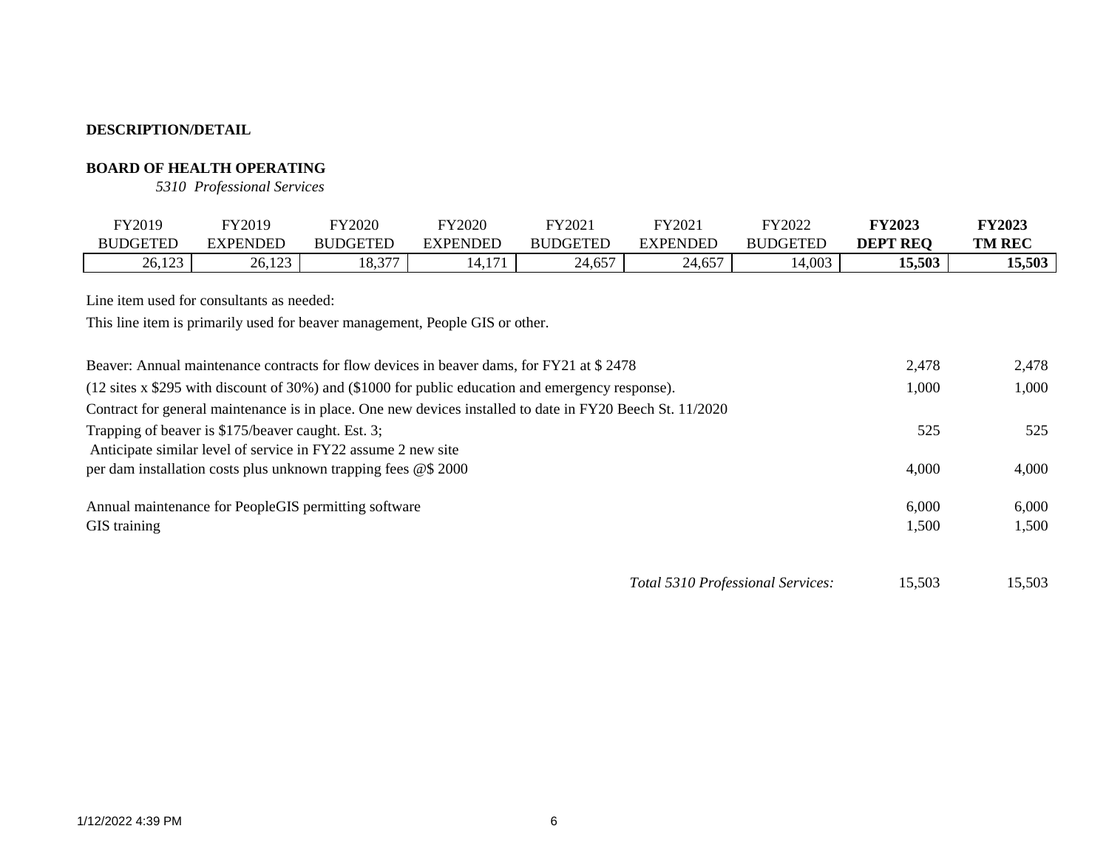# **BOARD OF HEALTH OPERATING**

*5310 Professional Services*

| FY2019<br><b>BUDGETED</b>                          | FY2019<br><b>EXPENDED</b> | FY2020<br><b>BUDGETED</b>                                                    | FY2020<br><b>EXPENDED</b> | FY2021<br><b>BUDGETED</b>                                                                                          | FY2021<br><b>EXPENDED</b>         | FY2022<br><b>BUDGETED</b> | <b>FY2023</b><br><b>DEPT REQ</b> | <b>FY2023</b><br><b>TM REC</b> |
|----------------------------------------------------|---------------------------|------------------------------------------------------------------------------|---------------------------|--------------------------------------------------------------------------------------------------------------------|-----------------------------------|---------------------------|----------------------------------|--------------------------------|
| 26,123                                             | 26,123                    | 18,377                                                                       | 14,171                    | 24,657                                                                                                             | 24,657                            | 14,003                    | 15,503                           | 15,503                         |
| Line item used for consultants as needed:          |                           | This line item is primarily used for beaver management, People GIS or other. |                           |                                                                                                                    |                                   |                           |                                  |                                |
|                                                    |                           |                                                                              |                           | Beaver: Annual maintenance contracts for flow devices in beaver dams, for FY21 at \$2478                           |                                   |                           | 2,478                            | 2,478                          |
|                                                    |                           |                                                                              |                           | $(12 \text{ sites } x \text{ $295$ with discount of 30%) and ($1000 for public education and emergency response).$ |                                   |                           | 1,000                            | 1,000                          |
|                                                    |                           |                                                                              |                           | Contract for general maintenance is in place. One new devices installed to date in FY20 Beech St. 11/2020          |                                   |                           |                                  |                                |
| Trapping of beaver is \$175/beaver caught. Est. 3; |                           |                                                                              |                           |                                                                                                                    |                                   |                           | 525                              | 525                            |
|                                                    |                           | Anticipate similar level of service in FY22 assume 2 new site                |                           |                                                                                                                    |                                   |                           |                                  |                                |
|                                                    |                           | per dam installation costs plus unknown trapping fees @\$ 2000               |                           |                                                                                                                    |                                   |                           | 4,000                            | 4,000                          |
| GIS training                                       |                           | Annual maintenance for PeopleGIS permitting software                         |                           |                                                                                                                    |                                   |                           | 6,000<br>1,500                   | 6,000<br>1,500                 |
|                                                    |                           |                                                                              |                           |                                                                                                                    | Total 5310 Professional Services: |                           | 15,503                           | 15,503                         |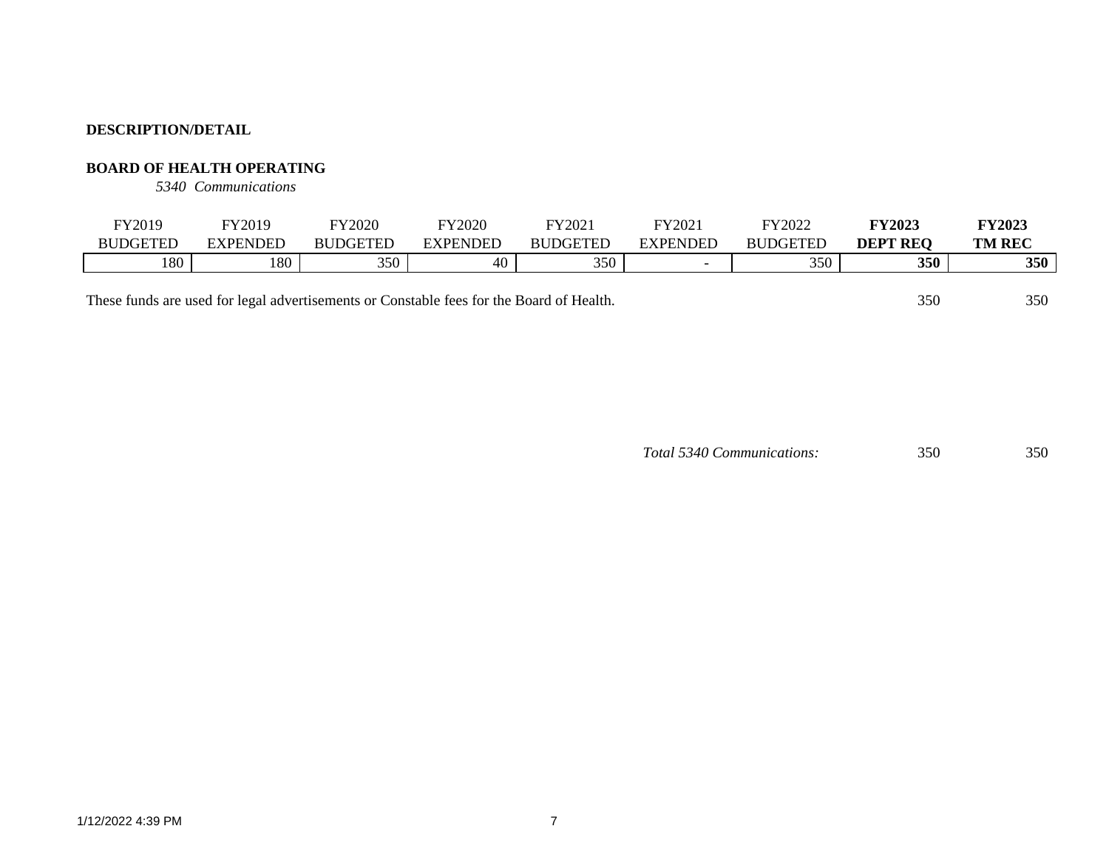## **BOARD OF HEALTH OPERATING**

*5340 Communications*

| FY2019          | FY2019   | FY2020          | Y2020    | FY2021          | FY2021          | FY2022          | <b>FY2023</b>   | <b>FY2023</b> |
|-----------------|----------|-----------------|----------|-----------------|-----------------|-----------------|-----------------|---------------|
| <b>BUDGETED</b> | EXPENDED | <b>BUDGETED</b> | EXPENDED | <b>BUDGETED</b> | <b>EXPENDED</b> | <b>BUDGETED</b> | <b>DEPT REO</b> | <b>TM REC</b> |
| 180             | 180      | 350             | 40       | 350             |                 | 350             | 350             | 350           |

These funds are used for legal advertisements or Constable fees for the Board of Health. 350 350 350

*Total 5340 Communications:* 350 350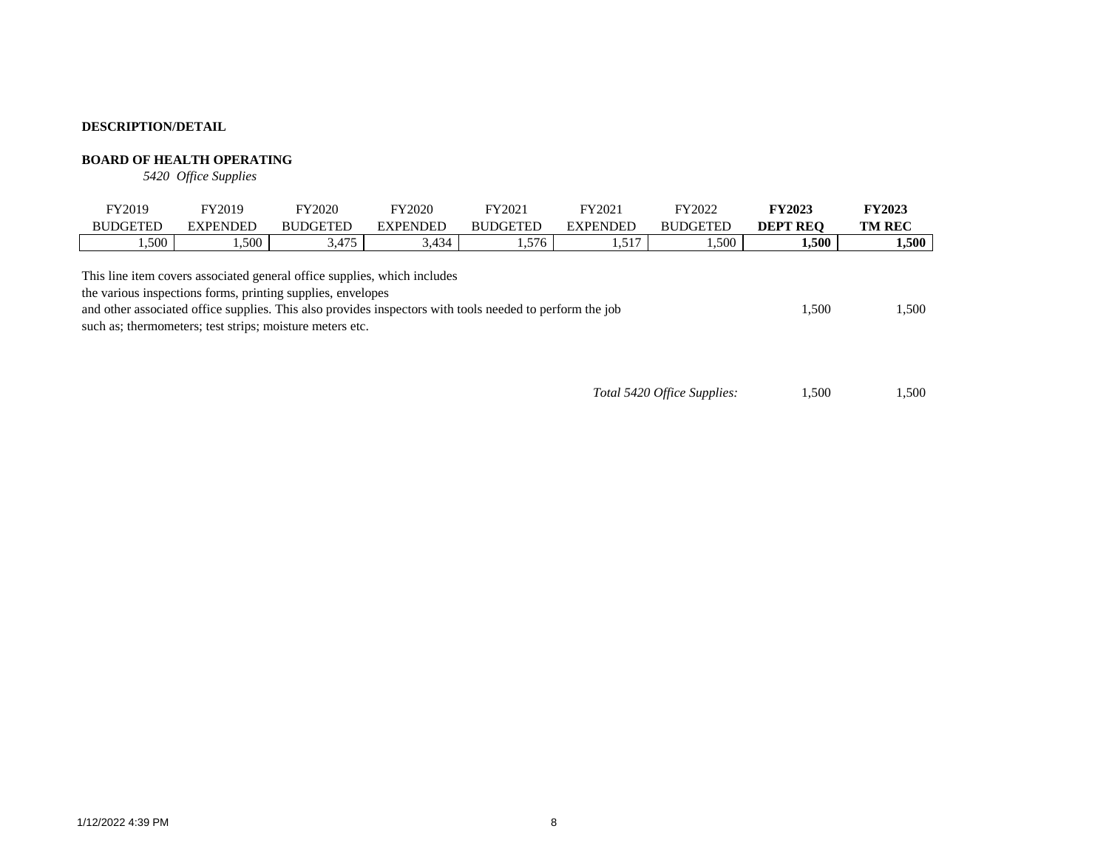## **BOARD OF HEALTH OPERATING**

*5420 Office Supplies*

| FY2019                                                                                                                                  | FY2019          | <b>FY2020</b>   | FY2020          | FY2021          | FY2021          | FY2022          | <b>FY2023</b>   | <b>FY2023</b> |
|-----------------------------------------------------------------------------------------------------------------------------------------|-----------------|-----------------|-----------------|-----------------|-----------------|-----------------|-----------------|---------------|
| <b>BUDGETED</b>                                                                                                                         | <b>EXPENDED</b> | <b>BUDGETED</b> | <b>EXPENDED</b> | <b>BUDGETED</b> | <b>EXPENDED</b> | <b>BUDGETED</b> | <b>DEPT REO</b> | <b>TM REC</b> |
| .500                                                                                                                                    | .500            | 3.475           | 3.434           | . 576           | 1,517           | .500            | 1,500           | 1.500         |
| This line item covers associated general office supplies, which includes<br>the various inspections forms, printing supplies, envelopes |                 |                 |                 |                 |                 |                 |                 |               |

the various inspections forms, printing supplies, envelopes and other associated office supplies. This also provides inspectors with tools needed to perform the job 1,500 1,500 such as; thermometers; test strips; moisture meters etc.

*Total 5420 Office Supplies:* 1,500 1,500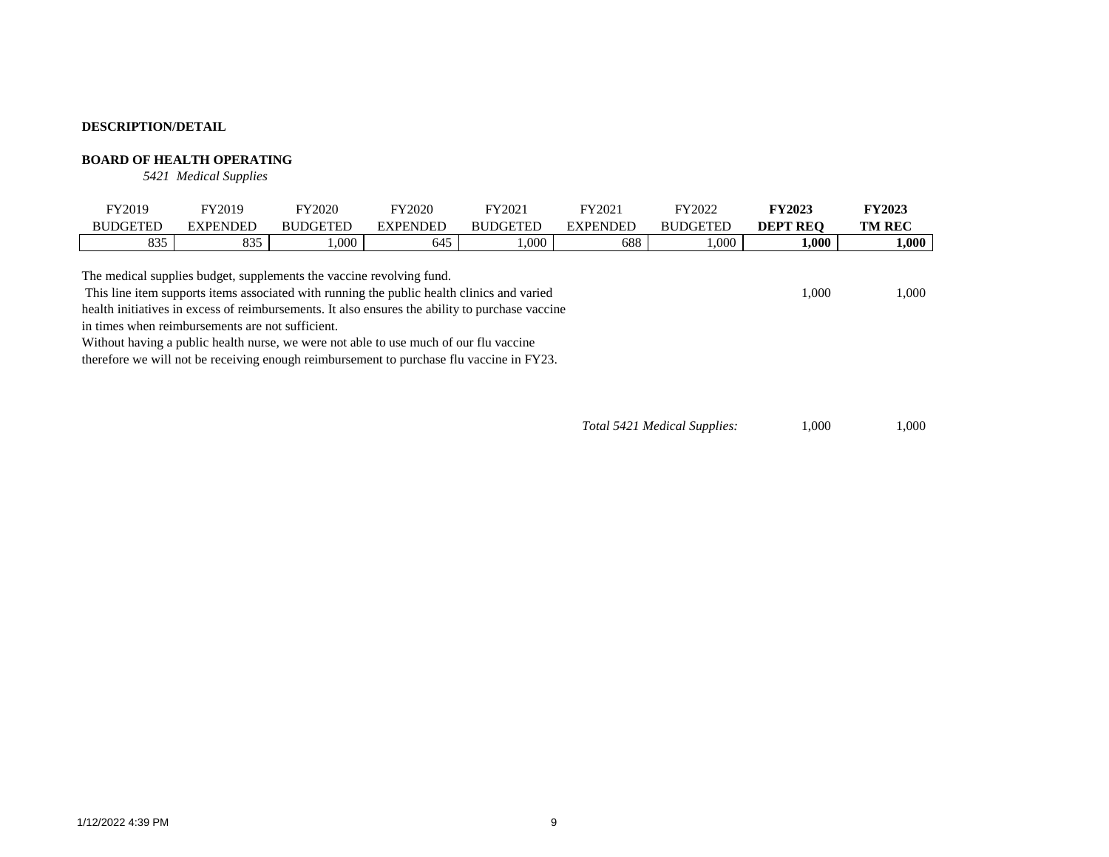#### **BOARD OF HEALTH OPERATING**

*5421 Medical Supplies*

| FY2019                                                                                                                                                             | FY2019          | FY2020          | <b>FY2020</b>   | FY2021          | FY2021          | FY2022          | <b>FY2023</b>   | <b>FY2023</b> |  |
|--------------------------------------------------------------------------------------------------------------------------------------------------------------------|-----------------|-----------------|-----------------|-----------------|-----------------|-----------------|-----------------|---------------|--|
| <b>BUDGETED</b>                                                                                                                                                    | <b>EXPENDED</b> | <b>BUDGETED</b> | <b>EXPENDED</b> | <b>BUDGETED</b> | <b>EXPENDED</b> | <b>BUDGETED</b> | <b>DEPT REO</b> | <b>TM REC</b> |  |
| 835                                                                                                                                                                | 835             | .000            | 645             | 000.1           | 688             | $.000$ .        | 000.1           | 1,000         |  |
| The medical supplies budget, supplements the vaccine revolving fund.<br>This line item supports items associated with running the public health clinics and varied |                 |                 |                 |                 |                 |                 |                 |               |  |
|                                                                                                                                                                    | 1.000           | 1.000           |                 |                 |                 |                 |                 |               |  |

health initiatives in excess of reimbursements. It also ensures the ability to purchase vaccine in times when reimbursements are not sufficient.

Without having a public health nurse, we were not able to use much of our flu vaccine therefore we will not be receiving enough reimbursement to purchase flu vaccine in FY23.

*Total 5421 Medical Supplies:* 1,000 1,000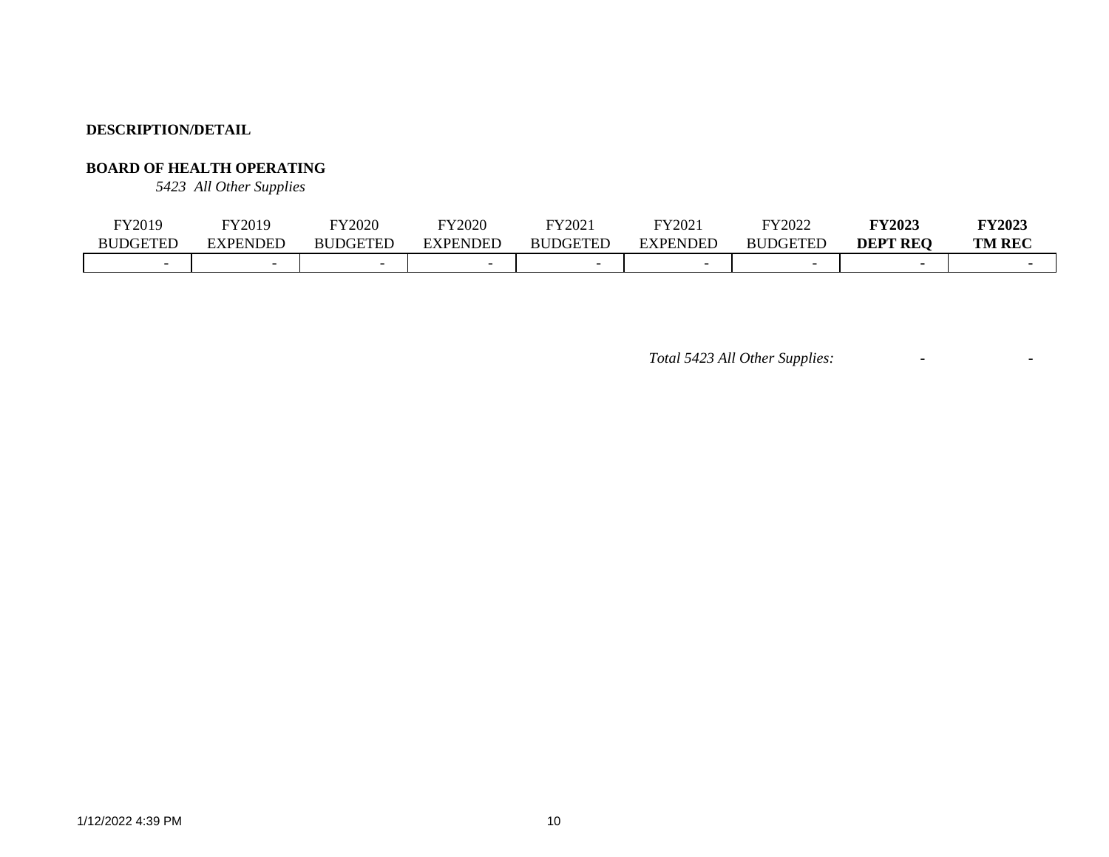# **BOARD OF HEALTH OPERATING**

*5423 All Other Supplies*

| FY2019                   | FY2019                   | FY2020          | FY2020          | FY2021          | FY2021          | FY2022                      | <b>FY2023</b>   | <b>FY2023</b> |
|--------------------------|--------------------------|-----------------|-----------------|-----------------|-----------------|-----------------------------|-----------------|---------------|
| <b>BUDGETED</b>          | EXPENDED                 | <b>BUDGETED</b> | <b>EXPENDED</b> | <b>BUDGETED</b> | <b>EXPENDED</b> | <b>DGETED</b><br><b>BUL</b> | <b>DEPT REQ</b> | <b>TM REC</b> |
| $\overline{\phantom{0}}$ | $\overline{\phantom{0}}$ |                 |                 |                 |                 | $\overline{\phantom{0}}$    |                 |               |

*Total 5423 All Other Supplies:* - -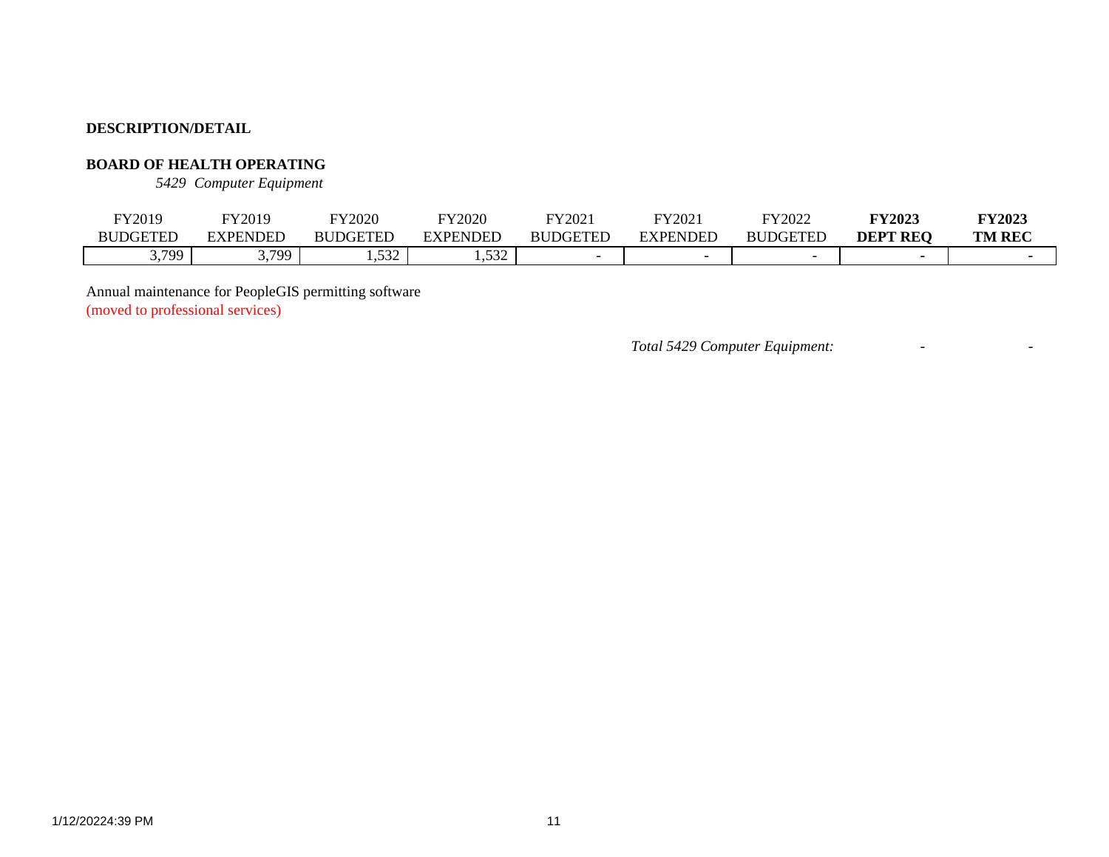# **BOARD OF HEALTH OPERATING**

*5429 Computer Equipment*

| FY2019          | FY2019                 | <b>FY2020</b>   | FY2020               | FY2021   | FY2021   | FY2022          | <b>FY2023</b>   | <b>FY2023</b> |
|-----------------|------------------------|-----------------|----------------------|----------|----------|-----------------|-----------------|---------------|
| <b>BUDGETED</b> | <b>EXPENDED</b>        | <b>BUDGETED</b> | EXPENDED             | BUDGETED | EXPENDED | <b>BUDGETED</b> | <b>DEPT REO</b> | <b>TM REC</b> |
| 3,799           | 700<br>$\cup$ , $\cup$ | 520<br>⊶ت ب     | $\epsilon$<br>ے رہے. |          |          |                 |                 |               |

Annual maintenance for PeopleGIS permitting software

(moved to professional services)

*Total 5429 Computer Equipment:* - -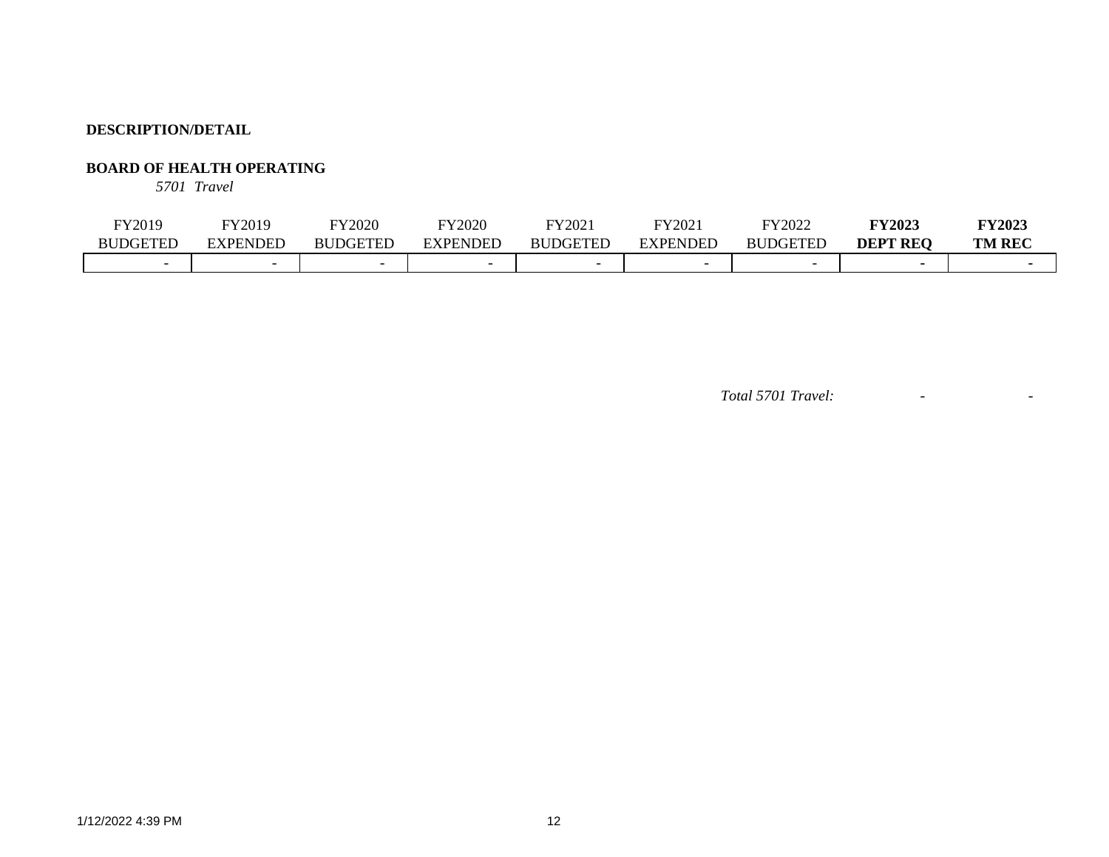# **BOARD OF HEALTH OPERATING**

*5701 Travel*

| FY2019                   | FY2019                   | FY2020          | FY2020          | FY202           | FY202    | FY2022          | <b>FY2023</b>   | <b>FY2023</b> |
|--------------------------|--------------------------|-----------------|-----------------|-----------------|----------|-----------------|-----------------|---------------|
| <b>BUDGETED</b>          | EXPENDED                 | <b>BUDGETED</b> | <b>EXPENDED</b> | <b>BUDGETED</b> | EXPENDED | <b>BUDGETED</b> | <b>DEPT REQ</b> | <b>TM REC</b> |
| $\overline{\phantom{0}}$ | $\overline{\phantom{0}}$ |                 |                 |                 |          |                 |                 |               |

*Total 5701 Travel:* - -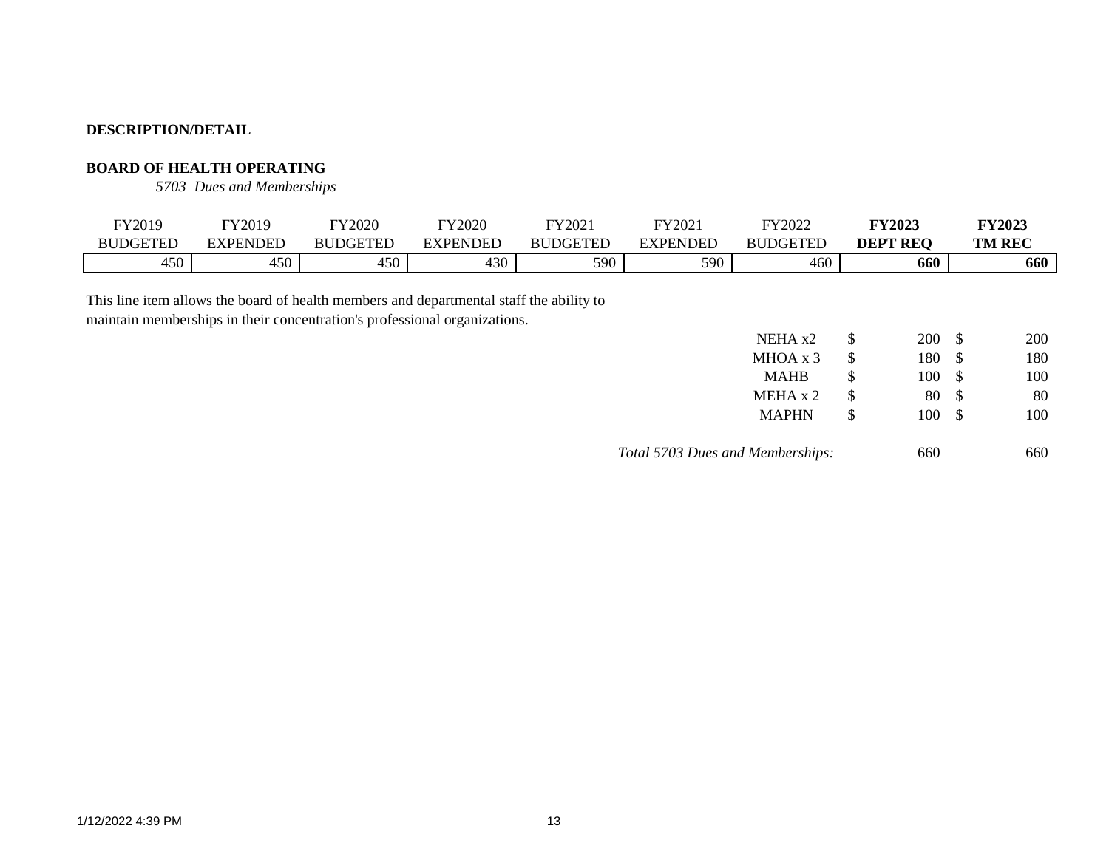## **BOARD OF HEALTH OPERATING**

*5703 Dues and Memberships*

| FY2019          | FY2019          | <b>FY2020</b>   | FY2020   | FY2021          | FY2021          | FY2022          | <b>FY2023</b>   | <b>FY2023</b> |
|-----------------|-----------------|-----------------|----------|-----------------|-----------------|-----------------|-----------------|---------------|
| <b>BUDGETED</b> | <b>EXPENDED</b> | <b>BUDGETED</b> | EXPENDED | <b>BUDGETED</b> | <b>EXPENDED</b> | <b>BUDGETED</b> | <b>DEPT REO</b> | <b>TM REC</b> |
| 450             | 450             | 450             | 430      | 590             | 590             | 460             | 660             | 660           |
|                 |                 |                 |          |                 |                 |                 |                 |               |

This line item allows the board of health members and departmental staff the ability to maintain memberships in their concentration's professional organizations.

| NEHA x2                          | \$ | <b>200</b> | S | 200 |
|----------------------------------|----|------------|---|-----|
| MHOA x 3                         | \$ | 180        | S | 180 |
| <b>MAHB</b>                      | \$ | 100        | S | 100 |
| MEHA x 2                         | \$ | 80         | S | 80  |
| <b>MAPHN</b>                     | S  | 100        | S | 100 |
| Total 5703 Dues and Memberships: |    | 660        |   | 660 |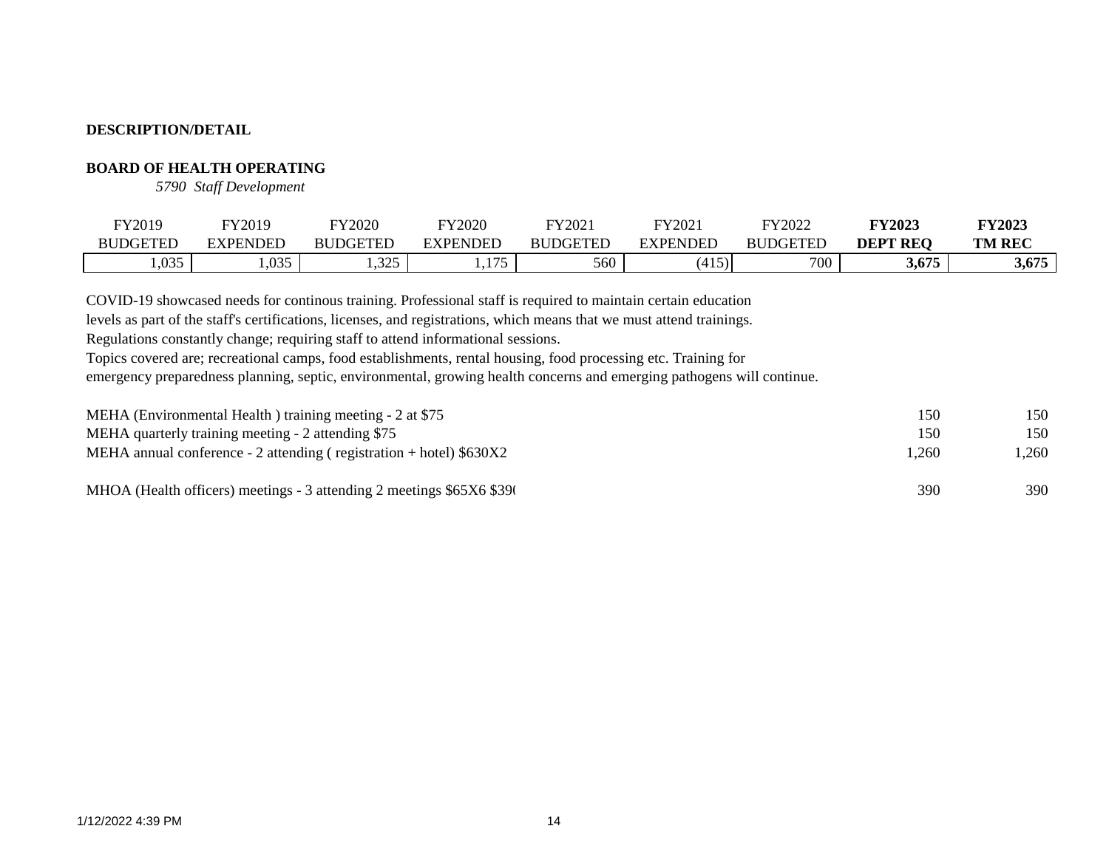## **BOARD OF HEALTH OPERATING**

*5790 Staff Development*

| FY2019          | FY2019            | <b>FY2020</b>   | FY2020              | FY2021          | FY2021                    | FY2022          | <b>FY2023</b>             | <b>FY2023</b> |
|-----------------|-------------------|-----------------|---------------------|-----------------|---------------------------|-----------------|---------------------------|---------------|
| <b>BUDGETED</b> | <b>EXPENDED</b>   | <b>BUDGETED</b> | EXPENDED            | <b>BUDGETED</b> | <b>EXPENDED</b>           | <b>BUDGETED</b> | <b>REQ</b><br><b>DEPT</b> | <b>TM REC</b> |
| ,035            | $\Omega$<br>1.UJJ | 225<br>ر∠ريا    | 175<br>1.I <i>I</i> | 560             | 415<br>4<br>$\sim$ $\sim$ | 700             | 3,675                     | 3,675         |

COVID-19 showcased needs for continous training. Professional staff is required to maintain certain education

levels as part of the staff's certifications, licenses, and registrations, which means that we must attend trainings.

Regulations constantly change; requiring staff to attend informational sessions.

Topics covered are; recreational camps, food establishments, rental housing, food processing etc. Training for

emergency preparedness planning, septic, environmental, growing health concerns and emerging pathogens will continue.

| MEHA (Environmental Health) training meeting - 2 at \$75              | 150   | 150. |
|-----------------------------------------------------------------------|-------|------|
| MEHA quarterly training meeting - 2 attending \$75                    | 150   | 150  |
| MEHA annual conference - 2 attending (registration + hotel) $$630X2$  | 1.260 | .260 |
| MHOA (Health officers) meetings - 3 attending 2 meetings \$65X6 \$390 | 390   | 390  |
|                                                                       |       |      |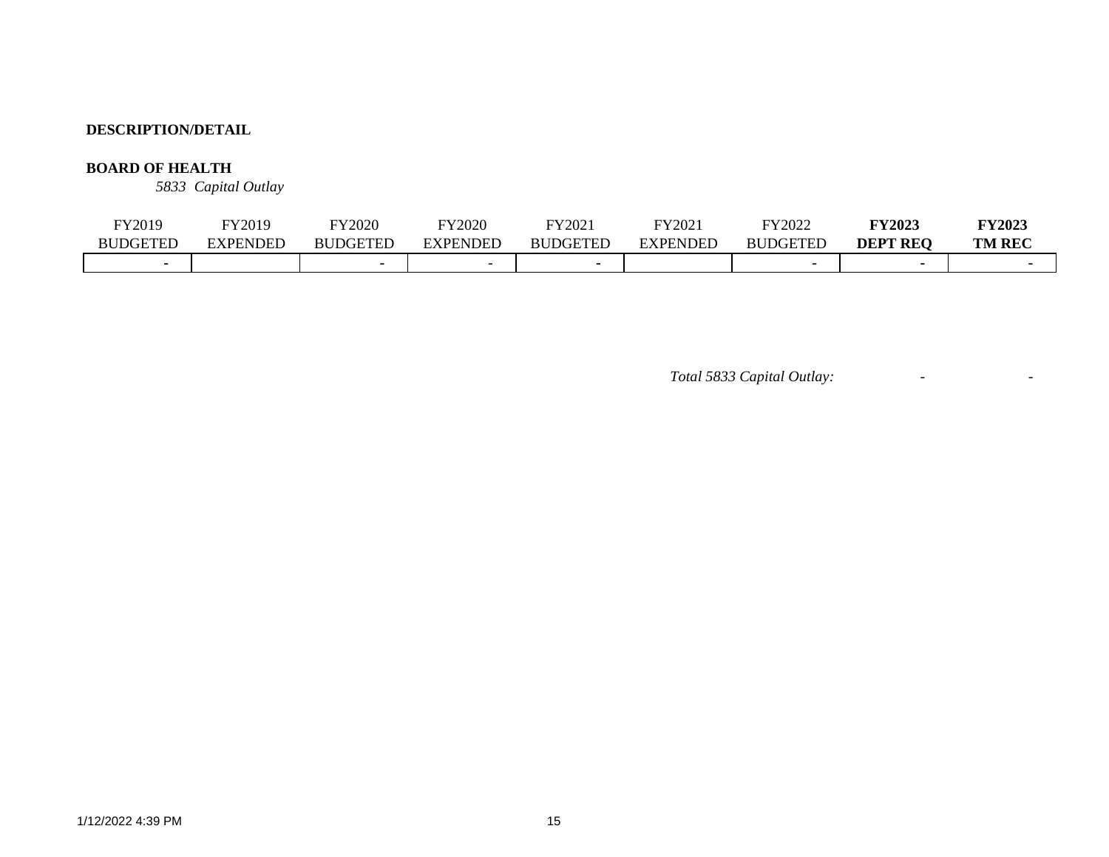# **BOARD OF HEALTH**

*5833 Capital Outlay*

| FY2019          | <sup>T</sup> Y2019 | <b>FY2020</b>   | TY2020          | FY2021          | FY2021          | FY2022          | <b>FY2023</b>      | <b>FY2023</b> |
|-----------------|--------------------|-----------------|-----------------|-----------------|-----------------|-----------------|--------------------|---------------|
| <b>BUDGETED</b> | EXPENDED           | <b>BUDGETED</b> | <b>EXPENDED</b> | <b>BUDGETED</b> | <b>EXPENDED</b> | <b>BUDGETED</b> | DEPT<br><b>REO</b> | <b>TM REC</b> |
|                 |                    |                 |                 |                 |                 |                 |                    |               |

*Total 5833 Capital Outlay:* - -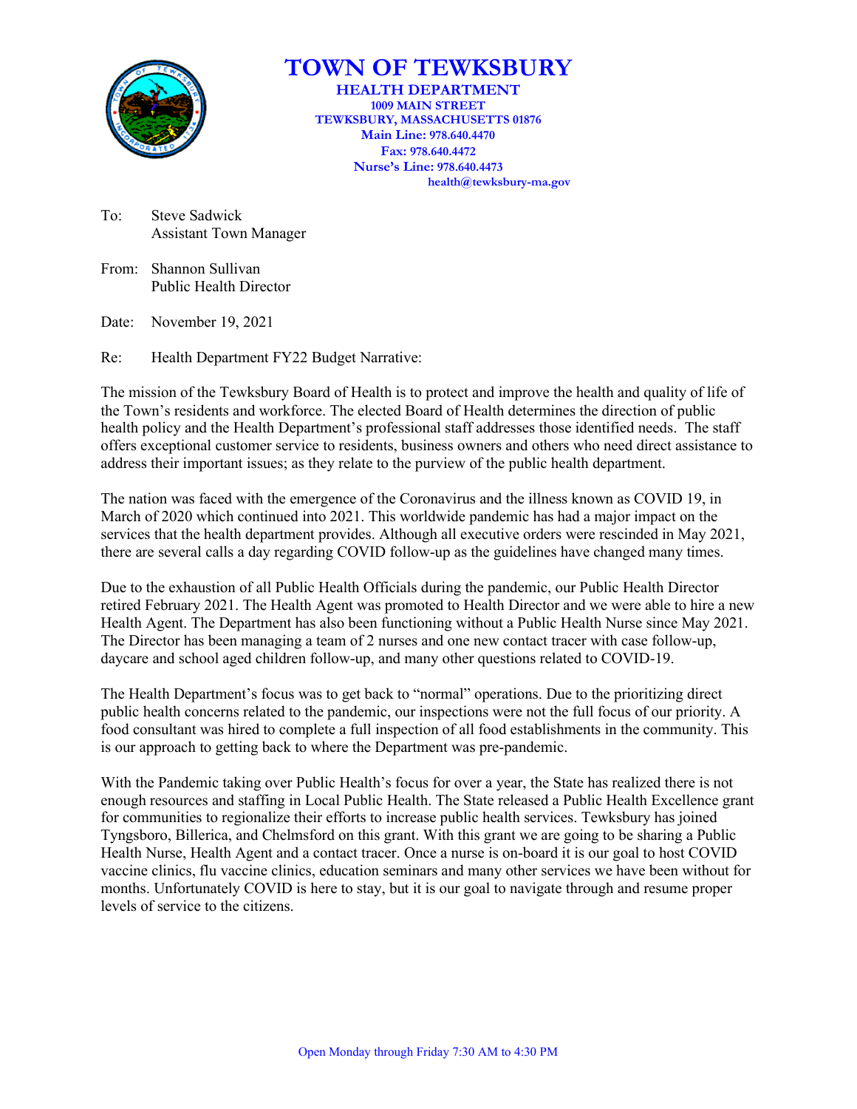

# **TOWN OF TEWKSBURY**

**HEALTH DEPARTMENT 1009 MAIN STREET TEWKSBURY, MASSACHUSETTS 01876 Main Line: 978.640.4470 Fax: 978.640.4472 Nurse's Line: 978.640.4473 health@tewksbury-ma.gov**

To: Steve Sadwick Assistant Town Manager

From: Shannon Sullivan Public Health Director

Date: November 19, 2021

Re: Health Department FY22 Budget Narrative:

The mission of the Tewksbury Board of Health is to protect and improve the health and quality of life of the Town's residents and workforce. The elected Board of Health determines the direction of public health policy and the Health Department's professional staff addresses those identified needs. The staff offers exceptional customer service to residents, business owners and others who need direct assistance to address their important issues; as they relate to the purview of the public health department.

The nation was faced with the emergence of the Coronavirus and the illness known as COVID 19, in March of 2020 which continued into 2021. This worldwide pandemic has had a major impact on the services that the health department provides. Although all executive orders were rescinded in May 2021, there are several calls a day regarding COVID follow-up as the guidelines have changed many times.

Due to the exhaustion of all Public Health Officials during the pandemic, our Public Health Director retired February 2021. The Health Agent was promoted to Health Director and we were able to hire a new Health Agent. The Department has also been functioning without a Public Health Nurse since May 2021. The Director has been managing a team of 2 nurses and one new contact tracer with case follow-up, daycare and school aged children follow-up, and many other questions related to COVID-19.

The Health Department's focus was to get back to "normal" operations. Due to the prioritizing direct public health concerns related to the pandemic, our inspections were not the full focus of our priority. A food consultant was hired to complete a full inspection of all food establishments in the community. This is our approach to getting back to where the Department was pre-pandemic.

With the Pandemic taking over Public Health's focus for over a year, the State has realized there is not enough resources and staffing in Local Public Health. The State released a Public Health Excellence grant for communities to regionalize their efforts to increase public health services. Tewksbury has joined Tyngsboro, Billerica, and Chelmsford on this grant. With this grant we are going to be sharing a Public Health Nurse, Health Agent and a contact tracer. Once a nurse is on-board it is our goal to host COVID vaccine clinics, flu vaccine clinics, education seminars and many other services we have been without for months. Unfortunately COVID is here to stay, but it is our goal to navigate through and resume proper levels of service to the citizens.